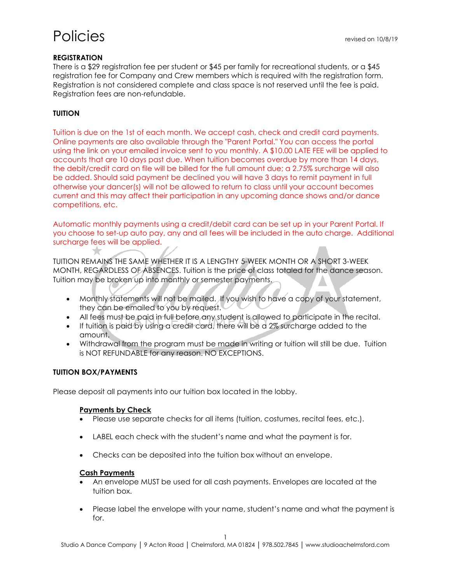## **REGISTRATION**

There is a \$29 registration fee per student or \$45 per family for recreational students, or a \$45 registration fee for Company and Crew members which is required with the registration form. Registration is not considered complete and class space is not reserved until the fee is paid. Registration fees are non-refundable.

## **TUITION**

Tuition is due on the 1st of each month. We accept cash, check and credit card payments. Online payments are also available through the "Parent Portal." You can access the portal using the link on your emailed invoice sent to you monthly. A \$10.00 LATE FEE will be applied to accounts that are 10 days past due. When tuition becomes overdue by more than 14 days, the debit/credit card on file will be billed for the full amount due; a 2.75% surcharge will also be added. Should said payment be declined you will have 3 days to remit payment in full otherwise your dancer(s) will not be allowed to return to class until your account becomes current and this may affect their participation in any upcoming dance shows and/or dance competitions, etc.

Automatic monthly payments using a credit/debit card can be set up in your Parent Portal. If you choose to set-up auto pay, any and all fees will be included in the auto charge. Additional surcharge fees will be applied.

TUITION REMAINS THE SAME WHETHER IT IS A LENGTHY 5-WEEK MONTH OR A SHORT 3-WEEK MONTH, REGARDLESS OF ABSENCES. Tuition is the price of class totaled for the dance season. Tuition may be broken up into monthly or semester payments.

- Monthly statements will not be mailed. If you wish to have a copy of your statement, they can be emailed to you by request.
- All fees must be paid in full before any student is allowed to participate in the recital.
- If tuition is paid by using a credit card, there will be a 2% surcharge added to the amount.
- Withdrawal from the program must be made in writing or tuition will still be due. Tuition is NOT REFUNDABLE for any reason. NO EXCEPTIONS.

## **TUITION BOX/PAYMENTS**

 $\star$ 

Please deposit all payments into our tuition box located in the lobby.

#### **Payments by Check**

- Please use separate checks for all items (tuition, costumes, recital fees, etc.).
- LABEL each check with the student's name and what the payment is for.
- Checks can be deposited into the tuition box without an envelope.

#### **Cash Payments**

- An envelope MUST be used for all cash payments. Envelopes are located at the tuition box.
- Please label the envelope with your name, student's name and what the payment is for.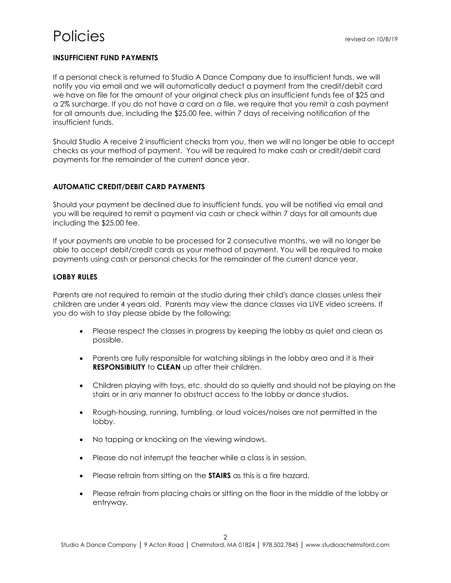## **INSUFFICIENT FUND PAYMENTS**

If a personal check is returned to Studio A Dance Company due to insufficient funds, we will notify you via email and we will automatically deduct a payment from the credit/debit card we have on file for the amount of your original check plus an insufficient funds fee of \$25 and a 2% surcharge. If you do not have a card on a file, we require that you remit a cash payment for all amounts due, including the \$25.00 fee, within 7 days of receiving notification of the insufficient funds.

Should Studio A receive 2 insufficient checks from you, then we will no longer be able to accept checks as your method of payment. You will be required to make cash or credit/debit card payments for the remainder of the current dance year.

#### **AUTOMATIC CREDIT/DEBIT CARD PAYMENTS**

Should your payment be declined due to insufficient funds, you will be notified via email and you will be required to remit a payment via cash or check within 7 days for all amounts due including the \$25.00 fee.

If your payments are unable to be processed for 2 consecutive months, we will no longer be able to accept debit/credit cards as your method of payment. You will be required to make payments using cash or personal checks for the remainder of the current dance year.

#### **LOBBY RULES**

Parents are not required to remain at the studio during their child's dance classes unless their children are under 4 years old. Parents may view the dance classes via LIVE video screens. If you do wish to stay please abide by the following;

- Please respect the classes in progress by keeping the lobby as quiet and clean as possible.
- Parents are fully responsible for watching siblings in the lobby area and it is their **RESPONSIBILITY** to **CLEAN** up after their children.
- Children playing with toys, etc. should do so quietly and should not be playing on the stairs or in any manner to obstruct access to the lobby or dance studios.
- Rough-housing, running, tumbling, or loud voices/noises are not permitted in the lobby.
- No tapping or knocking on the viewing windows.
- Please do not interrupt the teacher while a class is in session.
- Please refrain from sitting on the **STAIRS** as this is a fire hazard.
- Please refrain from placing chairs or sitting on the floor in the middle of the lobby or entryway.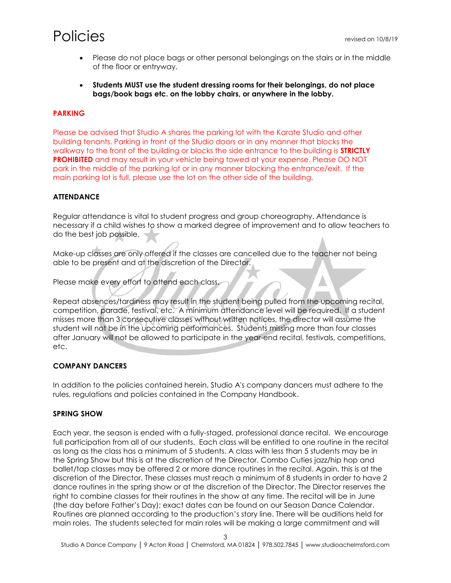- Please do not place bags or other personal belongings on the stairs or in the middle of the floor or entryway.
- **Students MUST use the student dressing rooms for their belongings, do not place bags/book bags etc. on the lobby chairs, or anywhere in the lobby.**

## **PARKING**

Please be advised that Studio A shares the parking lot with the Karate Studio and other building tenants. Parking in front of the Studio doors or in any manner that blocks the walkway to the front of the building or blocks the side entrance to the building is **STRICTLY PROHIBITED** and may result in your vehicle being towed at your expense. Please DO NOT park in the middle of the parking lot or in any manner blocking the entrance/exit. If the main parking lot is full, please use the lot on the other side of the building.

## **ATTENDANCE**

Regular attendance is vital to student progress and group choreography. Attendance is necessary if a child wishes to show a marked degree of improvement and to allow teachers to do the best job possible.

Make-up classes are only offered if the classes are cancelled due to the teacher not being able to be present and at the discretion of the Director.

Please make every effort to attend each class.

Repeat absences/tardiness may result in the student being pulled from the upcoming recital, competition, parade, festival, etc. A minimum attendance level will be required. If a student misses more than 3 consecutive classes without written notices, the director will assume the student will not be in the upcoming performances. Students missing more than four classes after January will not be allowed to participate in the year-end recital, festivals, competitions, etc.

## **COMPANY DANCERS**

In addition to the policies contained herein, Studio A's company dancers must adhere to the rules, regulations and policies contained in the Company Handbook.

#### **SPRING SHOW**

Each year, the season is ended with a fully-staged, professional dance recital. We encourage full participation from all of our students. Each class will be entitled to one routine in the recital as long as the class has a minimum of 5 students. A class with less than 5 students may be in the Spring Show but this is at the discretion of the Director. Combo Cuties jazz/hip hop and ballet/tap classes may be offered 2 or more dance routines in the recital. Again, this is at the discretion of the Director. These classes must reach a minimum of 8 students in order to have 2 dance routines in the spring show or at the discretion of the Director. The Director reserves the right to combine classes for their routines in the show at any time. The recital will be in June (the day before Father's Day); exact dates can be found on our Season Dance Calendar. Routines are planned according to the production's story line. There will be auditions held for main roles. The students selected for main roles will be making a large commitment and will

3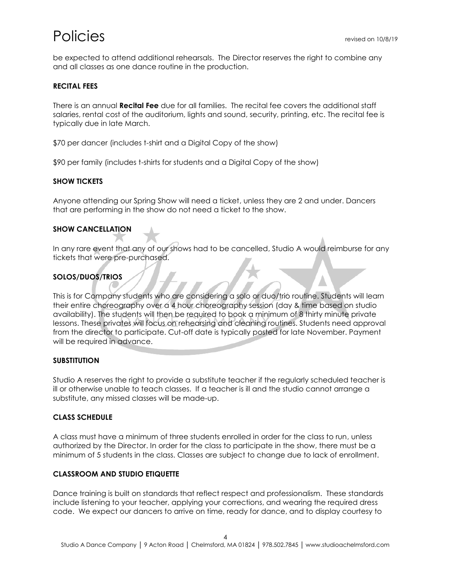be expected to attend additional rehearsals. The Director reserves the right to combine any and all classes as one dance routine in the production.

## **RECITAL FEES**

There is an annual **Recital Fee** due for all families. The recital fee covers the additional staff salaries, rental cost of the auditorium, lights and sound, security, printing, etc. The recital fee is typically due in late March.

\$70 per dancer (includes t-shirt and a Digital Copy of the show)

\$90 per family (includes t-shirts for students and a Digital Copy of the show)

#### **SHOW TICKETS**

Anyone attending our Spring Show will need a ticket, unless they are 2 and under. Dancers that are performing in the show do not need a ticket to the show.

#### **SHOW CANCELLATION**

In any rare event that any of our shows had to be cancelled, Studio A would reimburse for any tickets that were pre-purchased.

## **SOLOS/DUOS/TRIOS**

This is for Company students who are considering a solo or duo/trio routine. Students will learn their entire choreography over a 4 hour choreography session (day & time based on studio availability). The students will then be required to book a minimum of 8 thirty minute private lessons. These privates will focus on rehearsing and cleaning routines. Students need approval from the director to participate. Cut-off date is typically posted for late November. Payment will be required in advance.

#### **SUBSTITUTION**

Studio A reserves the right to provide a substitute teacher if the regularly scheduled teacher is ill or otherwise unable to teach classes. If a teacher is ill and the studio cannot arrange a substitute, any missed classes will be made-up.

#### **CLASS SCHEDULE**

A class must have a minimum of three students enrolled in order for the class to run, unless authorized by the Director. In order for the class to participate in the show, there must be a minimum of 5 students in the class. Classes are subject to change due to lack of enrollment.

#### **CLASSROOM AND STUDIO ETIQUETTE**

Dance training is built on standards that reflect respect and professionalism. These standards include listening to your teacher, applying your corrections, and wearing the required dress code. We expect our dancers to arrive on time, ready for dance, and to display courtesy to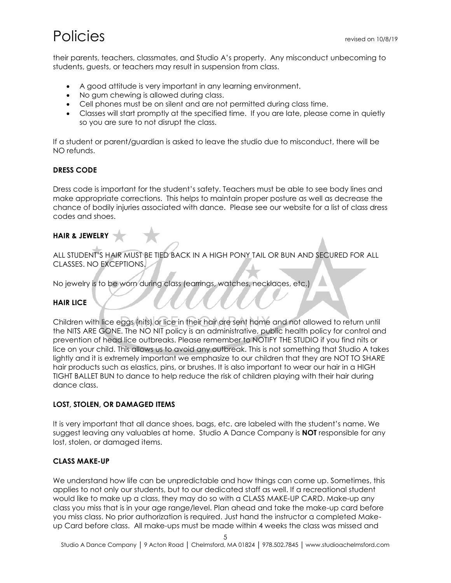their parents, teachers, classmates, and Studio A's property. Any misconduct unbecoming to students, guests, or teachers may result in suspension from class.

- A good attitude is very important in any learning environment.
- No gum chewing is allowed during class.
- Cell phones must be on silent and are not permitted during class time.
- Classes will start promptly at the specified time. If you are late, please come in quietly so you are sure to not disrupt the class.

If a student or parent/guardian is asked to leave the studio due to misconduct, there will be NO refunds.

## **DRESS CODE**

Dress code is important for the student's safety. Teachers must be able to see body lines and make appropriate corrections. This helps to maintain proper posture as well as decrease the chance of bodily injuries associated with dance. Please see our website for a list of class dress codes and shoes.

## **HAIR & JEWELRY**

ALL STUDENT'S HAIR MUST BE TIED BACK IN A HIGH PONY TAIL OR BUN AND SECURED FOR ALL CLASSES. NO EXCEPTIONS.

No jewelry is to be worn during class (earrings, watches, necklaces, etc.)

#### **HAIR LICE**

Children with lice eggs (nits) or lice in their hair are sent home and not allowed to return until the NITS ARE GONE. The NO NIT policy is an administrative, public health policy for control and prevention of head lice outbreaks. Please remember to NOTIFY THE STUDIO if you find nits or lice on your child. This allows us to avoid any outbreak. This is not something that Studio A takes lightly and it is extremely important we emphasize to our children that they are NOT TO SHARE hair products such as elastics, pins, or brushes. It is also important to wear our hair in a HIGH TIGHT BALLET BUN to dance to help reduce the risk of children playing with their hair during dance class.

#### **LOST, STOLEN, OR DAMAGED ITEMS**

It is very important that all dance shoes, bags, etc. are labeled with the student's name. We suggest leaving any valuables at home. Studio A Dance Company is **NOT** responsible for any lost, stolen, or damaged items.

#### **CLASS MAKE-UP**

We understand how life can be unpredictable and how things can come up. Sometimes, this applies to not only our students, but to our dedicated staff as well. If a recreational student would like to make up a class, they may do so with a CLASS MAKE-UP CARD. Make-up any class you miss that is in your age range/level. Plan ahead and take the make-up card before you miss class. No prior authorization is required. Just hand the instructor a completed Makeup Card before class. All make-ups must be made within 4 weeks the class was missed and

5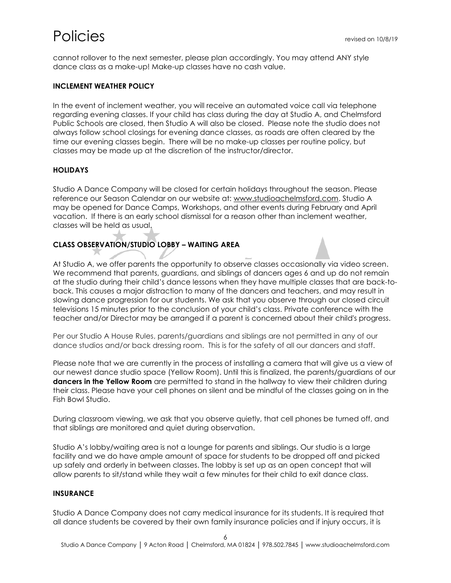cannot rollover to the next semester, please plan accordingly. You may attend ANY style dance class as a make-up! Make-up classes have no cash value.

## **INCLEMENT WEATHER POLICY**

In the event of inclement weather, you will receive an automated voice call via telephone regarding evening classes. If your child has class during the day at Studio A, and Chelmsford Public Schools are closed, then Studio A will also be closed. Please note the studio does not always follow school closings for evening dance classes, as roads are often cleared by the time our evening classes begin. There will be no make-up classes per routine policy, but classes may be made up at the discretion of the instructor/director.

## **HOLIDAYS**

Studio A Dance Company will be closed for certain holidays throughout the season. Please reference our Season Calendar on our website at: [www.studioachelmsford.com.](http://www.studioachelmsford.com/) Studio A may be opened for Dance Camps, Workshops, and other events during February and April vacation. If there is an early school dismissal for a reason other than inclement weather, classes will be held as usual.

## **CLASS OBSERVATION/STUDIO LOBBY – WAITING AREA**

At Studio A, we offer parents the opportunity to observe classes occasionally via video screen. We recommend that parents, guardians, and siblings of dancers ages 6 and up do not remain at the studio during their child's dance lessons when they have multiple classes that are back-toback. This causes a major distraction to many of the dancers and teachers, and may result in slowing dance progression for our students. We ask that you observe through our closed circuit televisions 15 minutes prior to the conclusion of your child's class. Private conference with the teacher and/or Director may be arranged if a parent is concerned about their child's progress.

Per our Studio A House Rules, parents/guardians and siblings are not permitted in any of our dance studios and/or back dressing room. This is for the safety of all our dancers and staff.

Please note that we are currently in the process of installing a camera that will give us a view of our newest dance studio space (Yellow Room). Until this is finalized, the parents/guardians of our **dancers in the Yellow Room** are permitted to stand in the hallway to view their children during their class. Please have your cell phones on silent and be mindful of the classes going on in the Fish Bowl Studio.

During classroom viewing, we ask that you observe quietly, that cell phones be turned off, and that siblings are monitored and quiet during observation.

Studio A's lobby/waiting area is not a lounge for parents and siblings. Our studio is a large facility and we do have ample amount of space for students to be dropped off and picked up safely and orderly in between classes. The lobby is set up as an open concept that will allow parents to sit/stand while they wait a few minutes for their child to exit dance class.

## **INSURANCE**

Studio A Dance Company does not carry medical insurance for its students. It is required that all dance students be covered by their own family insurance policies and if injury occurs, it is

6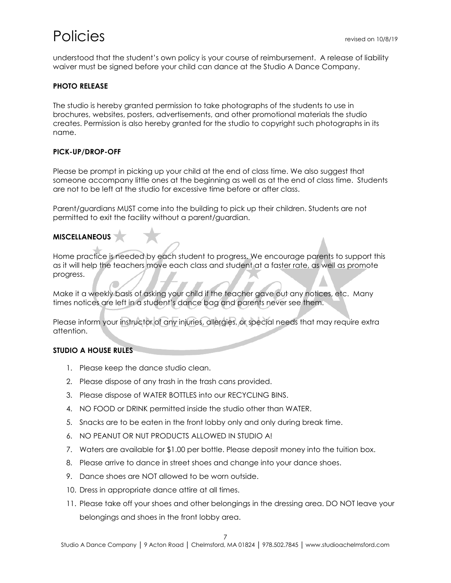understood that the student's own policy is your course of reimbursement. A release of liability waiver must be signed before your child can dance at the Studio A Dance Company.

## **PHOTO RELEASE**

The studio is hereby granted permission to take photographs of the students to use in brochures, websites, posters, advertisements, and other promotional materials the studio creates. Permission is also hereby granted for the studio to copyright such photographs in its name.

## **PICK-UP/DROP-OFF**

Please be prompt in picking up your child at the end of class time. We also suggest that someone accompany little ones at the beginning as well as at the end of class time. Students are not to be left at the studio for excessive time before or after class.

Parent/guardians MUST come into the building to pick up their children. Students are not permitted to exit the facility without a parent/guardian.

## **MISCELLANEOUS**

Home practice is needed by each student to progress. We encourage parents to support this as it will help the teachers move each class and student at a faster rate, as well as promote progress.

Make it a weekly basis of asking your child if the teacher gave out any notices, etc. Many times notices are left in a student's dance bag and parents never see them.

Please inform your instructor of any injuries, allergies, or special needs that may require extra attention.

## **STUDIO A HOUSE RULES**

- 1. Please keep the dance studio clean.
- 2. Please dispose of any trash in the trash cans provided.
- 3. Please dispose of WATER BOTTLES into our RECYCLING BINS.
- 4. NO FOOD or DRINK permitted inside the studio other than WATER.
- 5. Snacks are to be eaten in the front lobby only and only during break time.
- 6. NO PEANUT OR NUT PRODUCTS ALLOWED IN STUDIO A!
- 7. Waters are available for \$1.00 per bottle. Please deposit money into the tuition box.
- 8. Please arrive to dance in street shoes and change into your dance shoes.
- 9. Dance shoes are NOT allowed to be worn outside.
- 10. Dress in appropriate dance attire at all times.
- 11. Please take off your shoes and other belongings in the dressing area. DO NOT leave your belongings and shoes in the front lobby area.